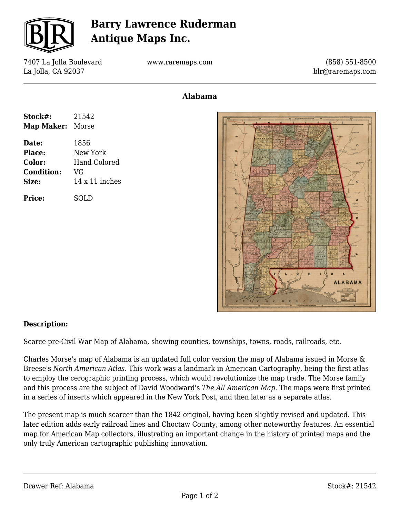

## **Barry Lawrence Ruderman Antique Maps Inc.**

7407 La Jolla Boulevard La Jolla, CA 92037

www.raremaps.com

(858) 551-8500 blr@raremaps.com

## **Alabama**

| Stock#:<br>Map Maker: Morse | 21542                 |
|-----------------------------|-----------------------|
| Date:                       | 1856                  |
| Place:                      | New York              |
| <b>Color:</b>               | Hand Colored          |
| <b>Condition:</b>           | VG                    |
| <b>Size:</b>                | $14 \times 11$ inches |
| <b>Price:</b>               | SOLD                  |



## **Description:**

Scarce pre-Civil War Map of Alabama, showing counties, townships, towns, roads, railroads, etc.

Charles Morse's map of Alabama is an updated full color version the map of Alabama issued in Morse & Breese's *North American Atlas.* This work was a landmark in American Cartography, being the first atlas to employ the cerographic printing process, which would revolutionize the map trade. The Morse family and this process are the subject of David Woodward's *The All American Map*. The maps were first printed in a series of inserts which appeared in the New York Post, and then later as a separate atlas.

The present map is much scarcer than the 1842 original, having been slightly revised and updated. This later edition adds early railroad lines and Choctaw County, among other noteworthy features. An essential map for American Map collectors, illustrating an important change in the history of printed maps and the only truly American cartographic publishing innovation.